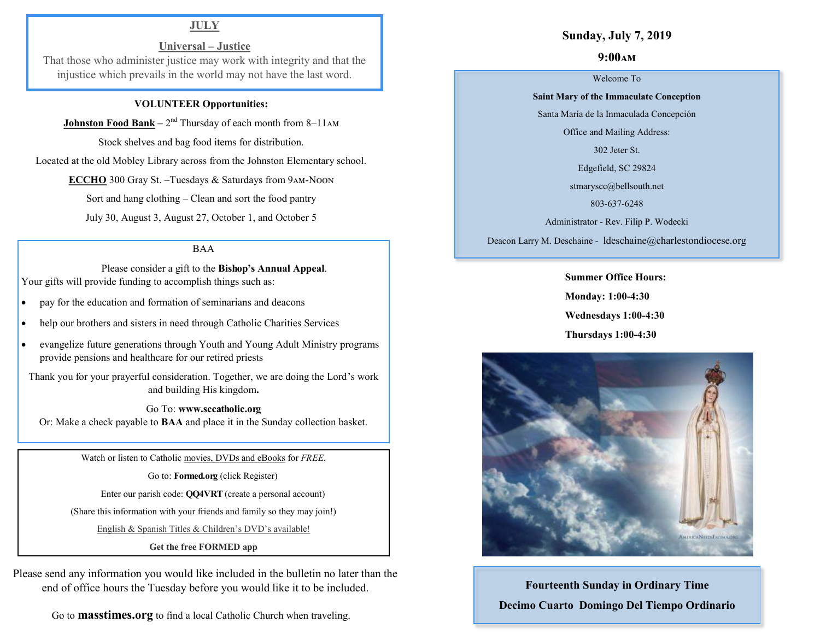# **JULY**

# **Universal – Justice**

That those who administer justice may work with integrity and that the injustice which prevails in the world may not have the last word.

### **VOLUNTEER Opportunities:**

**Johnston Food Bank** – 2<sup>nd</sup> Thursday of each month from 8–11AM

Stock shelves and bag food items for distribution.

Located at the old Mobley Library across from the Johnston Elementary school.

**ECCHO** 300 Gray St. –Tuesdays & Saturdays from 9am-Noon

Sort and hang clothing – Clean and sort the food pantry

July 30, August 3, August 27, October 1, and October 5

### BAA

 Please consider a gift to the **Bishop's Annual Appeal**. Your gifts will provide funding to accomplish things such as:

- pay for the education and formation of seminarians and deacons
- help our brothers and sisters in need through Catholic Charities Services
- evangelize future generations through Youth and Young Adult Ministry programs provide pensions and healthcare for our retired priests

Thank you for your prayerful consideration. Together, we are doing the Lord's work and building His kingdom**.** 

Go To: **www.sccatholic.org** Or: Make a check payable to **BAA** and place it in the Sunday collection basket.

Watch or listen to Catholic movies, DVDs and eBooks for *FREE.*

Go to: **Formed.org** (click Register)

Enter our parish code: **QQ4VRT** (create a personal account)

(Share this information with your friends and family so they may join!)

English & Spanish Titles & Children's DVD's available!

**Get the free FORMED app**

Please send any information you would like included in the bulletin no later than the end of office hours the Tuesday before you would like it to be included.

Go to **masstimes.org** to find a local Catholic Church when traveling.

## **Sunday, July 7, 2019**

## **9:00am**

#### Welcome To

**Saint Mary of the Immaculate Conception** 

Santa María de la Inmaculada Concepción

Office and Mailing Address:

302 Jeter St.

Edgefield, SC 29824

[stmaryscc@bellsouth.net](mailto:stmaryscc@bellsouth.net) 

803-637-6248

Administrator - Rev. Filip P. Wodecki

Deacon Larry M. Deschaine - ldeschaine@charlestondiocese.org

**Summer Office Hours: Monday: 1:00-4:30 Wednesdays 1:00-4:30 Thursdays 1:00-4:30**



**Fourteenth Sunday in Ordinary Time Decimo Cuarto Domingo Del Tiempo Ordinario**